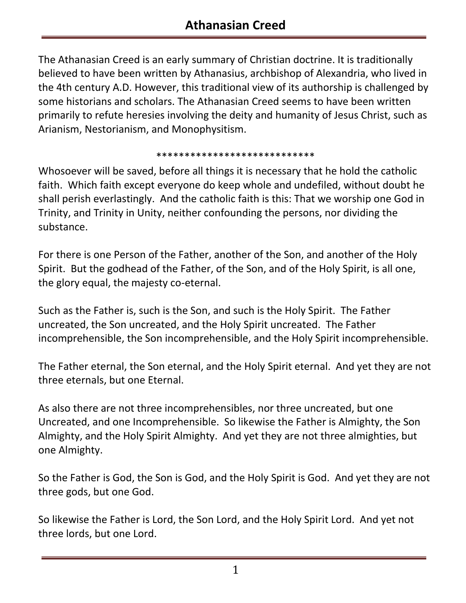The Athanasian Creed is an early summary of Christian doctrine. It is traditionally believed to have been written by Athanasius, archbishop of Alexandria, who lived in the 4th century A.D. However, this traditional view of its authorship is challenged by some historians and scholars. The Athanasian Creed seems to have been written primarily to refute heresies involving the deity and humanity of Jesus Christ, such as Arianism, Nestorianism, and Monophysitism.

## \*\*\*\*\*\*\*\*\*\*\*\*\*\*\*\*\*\*\*\*\*\*\*\*\*\*\*\*

Whosoever will be saved, before all things it is necessary that he hold the catholic faith. Which faith except everyone do keep whole and undefiled, without doubt he shall perish everlastingly. And the catholic faith is this: That we worship one God in Trinity, and Trinity in Unity, neither confounding the persons, nor dividing the substance.

For there is one Person of the Father, another of the Son, and another of the Holy Spirit. But the godhead of the Father, of the Son, and of the Holy Spirit, is all one, the glory equal, the majesty co-eternal.

Such as the Father is, such is the Son, and such is the Holy Spirit. The Father uncreated, the Son uncreated, and the Holy Spirit uncreated. The Father incomprehensible, the Son incomprehensible, and the Holy Spirit incomprehensible.

The Father eternal, the Son eternal, and the Holy Spirit eternal. And yet they are not three eternals, but one Eternal.

As also there are not three incomprehensibles, nor three uncreated, but one Uncreated, and one Incomprehensible. So likewise the Father is Almighty, the Son Almighty, and the Holy Spirit Almighty. And yet they are not three almighties, but one Almighty.

So the Father is God, the Son is God, and the Holy Spirit is God. And yet they are not three gods, but one God.

So likewise the Father is Lord, the Son Lord, and the Holy Spirit Lord. And yet not three lords, but one Lord.